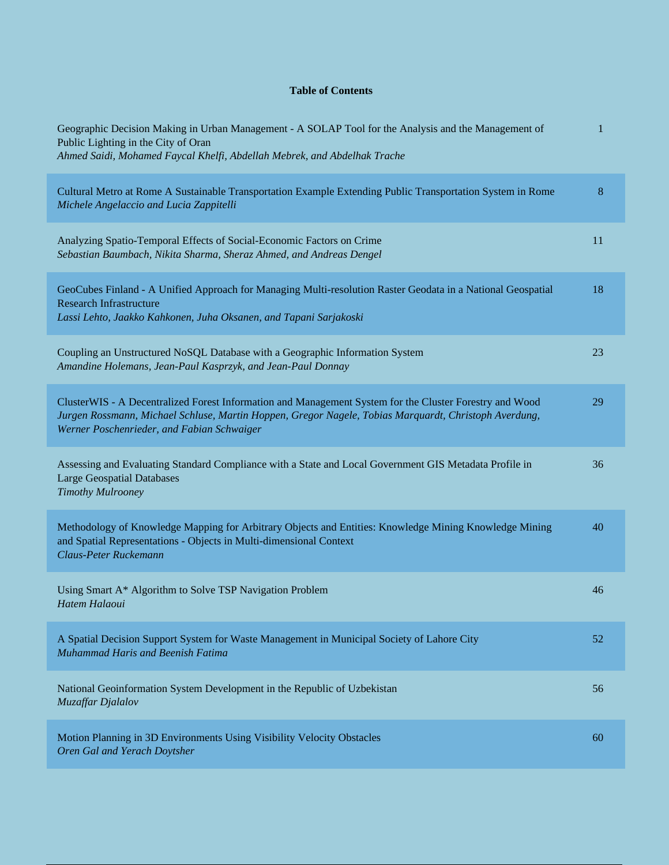## **Table of Contents**

| Geographic Decision Making in Urban Management - A SOLAP Tool for the Analysis and the Management of<br>Public Lighting in the City of Oran<br>Ahmed Saidi, Mohamed Faycal Khelfi, Abdellah Mebrek, and Abdelhak Trache                                        | $\mathbf{1}$ |
|----------------------------------------------------------------------------------------------------------------------------------------------------------------------------------------------------------------------------------------------------------------|--------------|
| Cultural Metro at Rome A Sustainable Transportation Example Extending Public Transportation System in Rome<br>Michele Angelaccio and Lucia Zappitelli                                                                                                          | 8            |
| Analyzing Spatio-Temporal Effects of Social-Economic Factors on Crime<br>Sebastian Baumbach, Nikita Sharma, Sheraz Ahmed, and Andreas Dengel                                                                                                                   | 11           |
| GeoCubes Finland - A Unified Approach for Managing Multi-resolution Raster Geodata in a National Geospatial<br><b>Research Infrastructure</b><br>Lassi Lehto, Jaakko Kahkonen, Juha Oksanen, and Tapani Sarjakoski                                             | 18           |
| Coupling an Unstructured NoSQL Database with a Geographic Information System<br>Amandine Holemans, Jean-Paul Kasprzyk, and Jean-Paul Donnay                                                                                                                    | 23           |
| ClusterWIS - A Decentralized Forest Information and Management System for the Cluster Forestry and Wood<br>Jurgen Rossmann, Michael Schluse, Martin Hoppen, Gregor Nagele, Tobias Marquardt, Christoph Averdung,<br>Werner Poschenrieder, and Fabian Schwaiger | 29           |
| Assessing and Evaluating Standard Compliance with a State and Local Government GIS Metadata Profile in<br><b>Large Geospatial Databases</b><br><b>Timothy Mulrooney</b>                                                                                        | 36           |
| Methodology of Knowledge Mapping for Arbitrary Objects and Entities: Knowledge Mining Knowledge Mining<br>and Spatial Representations - Objects in Multi-dimensional Context<br>Claus-Peter Ruckemann                                                          | 40           |
| Using Smart A* Algorithm to Solve TSP Navigation Problem<br>Hatem Halaoui                                                                                                                                                                                      | 46           |
| A Spatial Decision Support System for Waste Management in Municipal Society of Lahore City<br>Muhammad Haris and Beenish Fatima                                                                                                                                | 52           |
| National Geoinformation System Development in the Republic of Uzbekistan<br><b>Muzaffar Djalalov</b>                                                                                                                                                           | 56           |
| Motion Planning in 3D Environments Using Visibility Velocity Obstacles<br>Oren Gal and Yerach Doytsher                                                                                                                                                         | 60           |